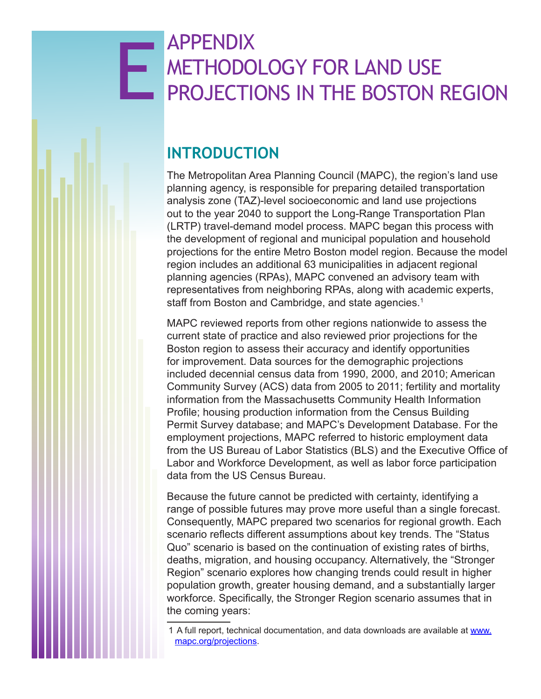# E APPENDIX<br>PROJECTI METHODOLOGY FOR LAND USE PROJECTIONS IN THE BOSTON REGION

# **INTRODUCTION**

The Metropolitan Area Planning Council (MAPC), the region's land use planning agency, is responsible for preparing detailed transportation analysis zone (TAZ)-level socioeconomic and land use projections out to the year 2040 to support the Long-Range Transportation Plan (LRTP) travel-demand model process. MAPC began this process with the development of regional and municipal population and household projections for the entire Metro Boston model region. Because the model region includes an additional 63 municipalities in adjacent regional planning agencies (RPAs), MAPC convened an advisory team with representatives from neighboring RPAs, along with academic experts, staff from Boston and Cambridge, and state agencies.<sup>1</sup>

MAPC reviewed reports from other regions nationwide to assess the current state of practice and also reviewed prior projections for the Boston region to assess their accuracy and identify opportunities for improvement. Data sources for the demographic projections included decennial census data from 1990, 2000, and 2010; American Community Survey (ACS) data from 2005 to 2011; fertility and mortality information from the Massachusetts Community Health Information Profile; housing production information from the Census Building Permit Survey database; and MAPC's Development Database. For the employment projections, MAPC referred to historic employment data from the US Bureau of Labor Statistics (BLS) and the Executive Office of Labor and Workforce Development, as well as labor force participation data from the US Census Bureau.

Because the future cannot be predicted with certainty, identifying a range of possible futures may prove more useful than a single forecast. Consequently, MAPC prepared two scenarios for regional growth. Each scenario reflects different assumptions about key trends. The "Status Quo" scenario is based on the continuation of existing rates of births, deaths, migration, and housing occupancy. Alternatively, the "Stronger Region" scenario explores how changing trends could result in higher population growth, greater housing demand, and a substantially larger workforce. Specifically, the Stronger Region scenario assumes that in the coming years:

<sup>1</sup> A full report, technical documentation, and data downloads are available at www. mapc.org/projections.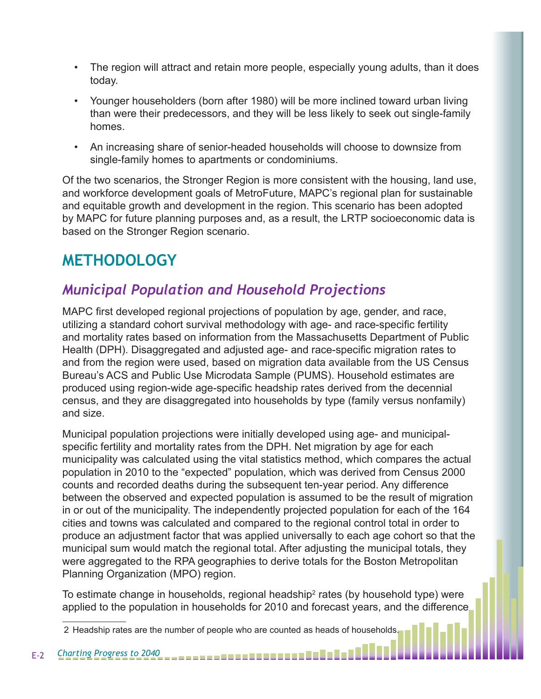- The region will attract and retain more people, especially young adults, than it does today.
- Younger householders (born after 1980) will be more inclined toward urban living than were their predecessors, and they will be less likely to seek out single-family homes.
- An increasing share of senior-headed households will choose to downsize from single-family homes to apartments or condominiums.

Of the two scenarios, the Stronger Region is more consistent with the housing, land use, and workforce development goals of MetroFuture, MAPC's regional plan for sustainable and equitable growth and development in the region. This scenario has been adopted by MAPC for future planning purposes and, as a result, the LRTP socioeconomic data is based on the Stronger Region scenario.

# **METHODOLOGY**

### *Municipal Population and Household Projections*

MAPC first developed regional projections of population by age, gender, and race, utilizing a standard cohort survival methodology with age- and race-specific fertility and mortality rates based on information from the Massachusetts Department of Public Health (DPH). Disaggregated and adjusted age- and race-specific migration rates to and from the region were used, based on migration data available from the US Census Bureau's ACS and Public Use Microdata Sample (PUMS). Household estimates are produced using region-wide age-specific headship rates derived from the decennial census, and they are disaggregated into households by type (family versus nonfamily) and size.

Municipal population projections were initially developed using age- and municipalspecific fertility and mortality rates from the DPH. Net migration by age for each municipality was calculated using the vital statistics method, which compares the actual population in 2010 to the "expected" population, which was derived from Census 2000 counts and recorded deaths during the subsequent ten-year period. Any difference between the observed and expected population is assumed to be the result of migration in or out of the municipality. The independently projected population for each of the 164 cities and towns was calculated and compared to the regional control total in order to produce an adjustment factor that was applied universally to each age cohort so that the municipal sum would match the regional total. After adjusting the municipal totals, they were aggregated to the RPA geographies to derive totals for the Boston Metropolitan Planning Organization (MPO) region.

To estimate change in households, regional headship<sup>2</sup> rates (by household type) were applied to the population in households for 2010 and forecast years, and the difference

<sup>2</sup> Headship rates are the number of people who are counted as heads of households.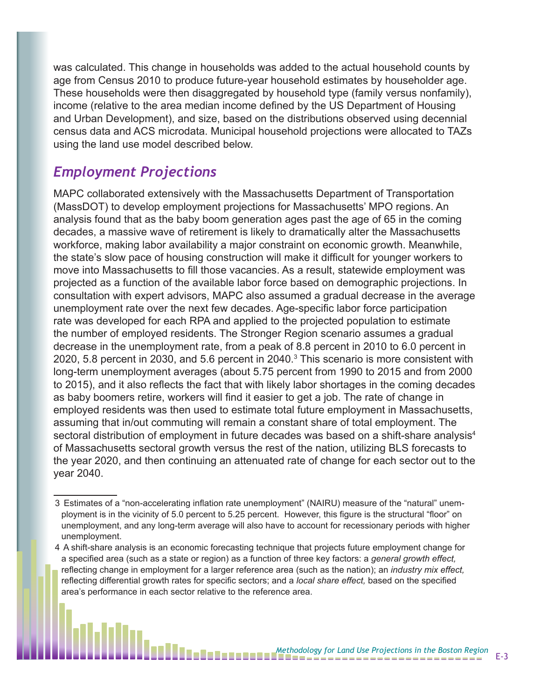was calculated. This change in households was added to the actual household counts by age from Census 2010 to produce future-year household estimates by householder age. These households were then disaggregated by household type (family versus nonfamily), income (relative to the area median income defined by the US Department of Housing and Urban Development), and size, based on the distributions observed using decennial census data and ACS microdata. Municipal household projections were allocated to TAZs using the land use model described below.

#### *Employment Projections*

MAPC collaborated extensively with the Massachusetts Department of Transportation (MassDOT) to develop employment projections for Massachusetts' MPO regions. An analysis found that as the baby boom generation ages past the age of 65 in the coming decades, a massive wave of retirement is likely to dramatically alter the Massachusetts workforce, making labor availability a major constraint on economic growth. Meanwhile, the state's slow pace of housing construction will make it difficult for younger workers to move into Massachusetts to fill those vacancies. As a result, statewide employment was projected as a function of the available labor force based on demographic projections. In consultation with expert advisors, MAPC also assumed a gradual decrease in the average unemployment rate over the next few decades. Age-specific labor force participation rate was developed for each RPA and applied to the projected population to estimate the number of employed residents. The Stronger Region scenario assumes a gradual decrease in the unemployment rate, from a peak of 8.8 percent in 2010 to 6.0 percent in 2020, 5.8 percent in 2030, and 5.6 percent in 2040.<sup>3</sup> This scenario is more consistent with long-term unemployment averages (about 5.75 percent from 1990 to 2015 and from 2000 to 2015), and it also reflects the fact that with likely labor shortages in the coming decades as baby boomers retire, workers will find it easier to get a job. The rate of change in employed residents was then used to estimate total future employment in Massachusetts, assuming that in/out commuting will remain a constant share of total employment. The sectoral distribution of employment in future decades was based on a shift-share analysis<sup>4</sup> of Massachusetts sectoral growth versus the rest of the nation, utilizing BLS forecasts to the year 2020, and then continuing an attenuated rate of change for each sector out to the year 2040.

<sup>3</sup> Estimates of a "non-accelerating inflation rate unemployment" (NAIRU) measure of the "natural" unemployment is in the vicinity of 5.0 percent to 5.25 percent. However, this figure is the structural "floor" on unemployment, and any long-term average will also have to account for recessionary periods with higher unemployment.

<sup>4</sup> A shift-share analysis is an economic forecasting technique that projects future employment change for a specified area (such as a state or region) as a function of three key factors: a *general growth effect,* reflecting change in employment for a larger reference area (such as the nation); an *industry mix effect,* reflecting differential growth rates for specific sectors; and a *local share effect,* based on the specified area's performance in each sector relative to the reference area.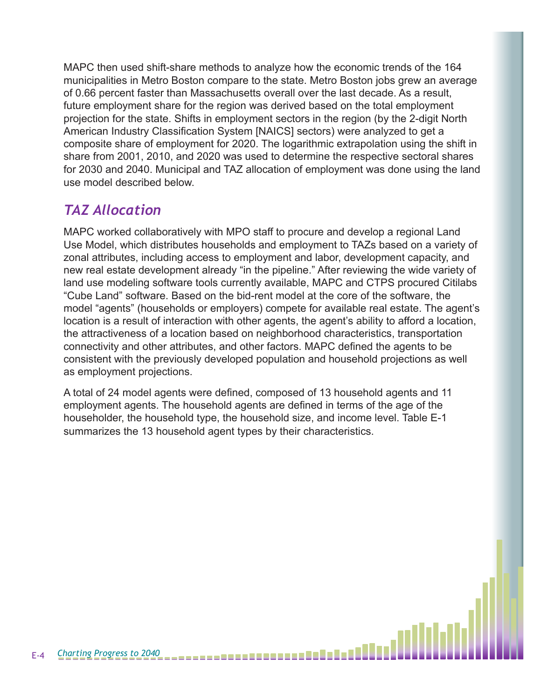MAPC then used shift-share methods to analyze how the economic trends of the 164 municipalities in Metro Boston compare to the state. Metro Boston jobs grew an average of 0.66 percent faster than Massachusetts overall over the last decade. As a result, future employment share for the region was derived based on the total employment projection for the state. Shifts in employment sectors in the region (by the 2-digit North American Industry Classification System [NAICS] sectors) were analyzed to get a composite share of employment for 2020. The logarithmic extrapolation using the shift in share from 2001, 2010, and 2020 was used to determine the respective sectoral shares for 2030 and 2040. Municipal and TAZ allocation of employment was done using the land use model described below.

### *TAZ Allocation*

MAPC worked collaboratively with MPO staff to procure and develop a regional Land Use Model, which distributes households and employment to TAZs based on a variety of zonal attributes, including access to employment and labor, development capacity, and new real estate development already "in the pipeline." After reviewing the wide variety of land use modeling software tools currently available, MAPC and CTPS procured Citilabs "Cube Land" software. Based on the bid-rent model at the core of the software, the model "agents" (households or employers) compete for available real estate. The agent's location is a result of interaction with other agents, the agent's ability to afford a location, the attractiveness of a location based on neighborhood characteristics, transportation connectivity and other attributes, and other factors. MAPC defined the agents to be consistent with the previously developed population and household projections as well as employment projections.

A total of 24 model agents were defined, composed of 13 household agents and 11 employment agents. The household agents are defined in terms of the age of the householder, the household type, the household size, and income level. Table E-1 summarizes the 13 household agent types by their characteristics.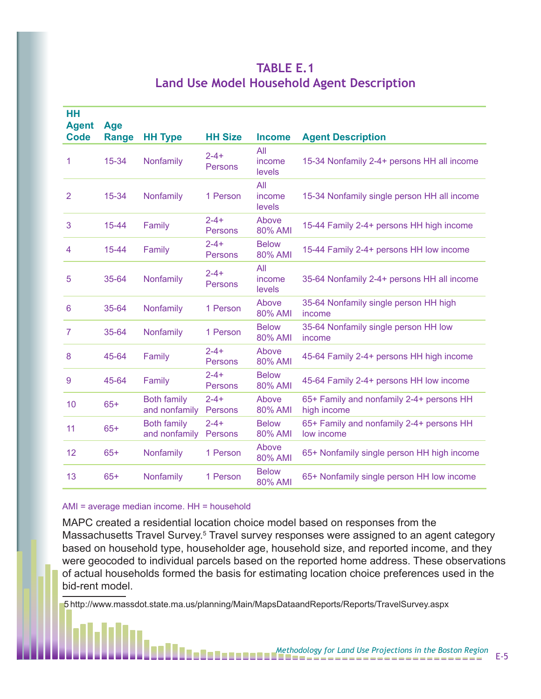| HH<br><b>Agent</b><br><b>Code</b> | Age<br><b>Range</b> | <b>HH Type</b>                      | <b>HH Size</b>              | <b>Income</b>           | <b>Agent Description</b>                                |
|-----------------------------------|---------------------|-------------------------------------|-----------------------------|-------------------------|---------------------------------------------------------|
| 1                                 | $15 - 34$           | Nonfamily                           | $2 - 4 +$<br>Persons        | All<br>income<br>levels | 15-34 Nonfamily 2-4+ persons HH all income              |
| 2                                 | $15 - 34$           | Nonfamily                           | 1 Person                    | All<br>income<br>levels | 15-34 Nonfamily single person HH all income             |
| 3                                 | $15 - 44$           | Family                              | $2 - 4 +$<br>Persons        | Above<br>80% AMI        | 15-44 Family 2-4+ persons HH high income                |
| 4                                 | $15 - 44$           | Family                              | $2 - 4 +$<br><b>Persons</b> | <b>Below</b><br>80% AMI | 15-44 Family 2-4+ persons HH low income                 |
| 5                                 | 35-64               | Nonfamily                           | $2 - 4 +$<br>Persons        | All<br>income<br>levels | 35-64 Nonfamily 2-4+ persons HH all income              |
| $6\phantom{1}6$                   | 35-64               | Nonfamily                           | 1 Person                    | Above<br>80% AMI        | 35-64 Nonfamily single person HH high<br>income         |
| 7                                 | 35-64               | Nonfamily                           | 1 Person                    | <b>Below</b><br>80% AMI | 35-64 Nonfamily single person HH low<br>income          |
| 8                                 | 45-64               | Family                              | $2 - 4 +$<br>Persons        | Above<br>80% AMI        | 45-64 Family 2-4+ persons HH high income                |
| 9                                 | 45-64               | Family                              | $2 - 4 +$<br>Persons        | <b>Below</b><br>80% AMI | 45-64 Family 2-4+ persons HH low income                 |
| 10                                | $65+$               | <b>Both family</b><br>and nonfamily | $2 - 4 +$<br>Persons        | Above<br>80% AMI        | 65+ Family and nonfamily 2-4+ persons HH<br>high income |
| 11                                | $65+$               | <b>Both family</b><br>and nonfamily | $2 - 4 +$<br>Persons        | <b>Below</b><br>80% AMI | 65+ Family and nonfamily 2-4+ persons HH<br>low income  |
| 12                                | $65+$               | Nonfamily                           | 1 Person                    | Above<br>80% AMI        | 65+ Nonfamily single person HH high income              |
| 13                                | $65+$               | Nonfamily                           | 1 Person                    | <b>Below</b><br>80% AMI | 65+ Nonfamily single person HH low income               |

#### **TABLE E.1 Land Use Model Household Agent Description**

#### AMI = average median income. HH = household

MAPC created a residential location choice model based on responses from the Massachusetts Travel Survey.<sup>5</sup> Travel survey responses were assigned to an agent category based on household type, householder age, household size, and reported income, and they were geocoded to individual parcels based on the reported home address. These observations of actual households formed the basis for estimating location choice preferences used in the bid-rent model.

5 http://www.massdot.state.ma.us/planning/Main/MapsDataandReports/Reports/TravelSurvey.aspx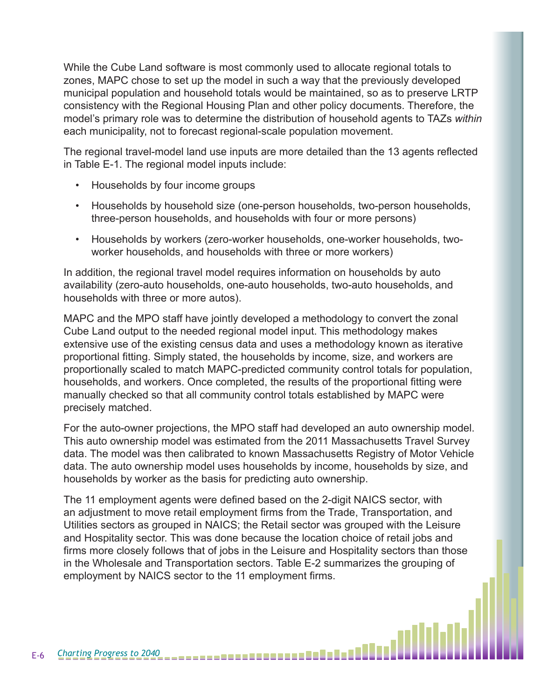While the Cube Land software is most commonly used to allocate regional totals to zones, MAPC chose to set up the model in such a way that the previously developed municipal population and household totals would be maintained, so as to preserve LRTP consistency with the Regional Housing Plan and other policy documents. Therefore, the model's primary role was to determine the distribution of household agents to TAZs *within* each municipality, not to forecast regional-scale population movement.

The regional travel-model land use inputs are more detailed than the 13 agents reflected in Table E-1. The regional model inputs include:

- Households by four income groups
- Households by household size (one-person households, two-person households, three-person households, and households with four or more persons)
- Households by workers (zero-worker households, one-worker households, twoworker households, and households with three or more workers)

In addition, the regional travel model requires information on households by auto availability (zero-auto households, one-auto households, two-auto households, and households with three or more autos).

MAPC and the MPO staff have jointly developed a methodology to convert the zonal Cube Land output to the needed regional model input. This methodology makes extensive use of the existing census data and uses a methodology known as iterative proportional fitting. Simply stated, the households by income, size, and workers are proportionally scaled to match MAPC-predicted community control totals for population, households, and workers. Once completed, the results of the proportional fitting were manually checked so that all community control totals established by MAPC were precisely matched.

For the auto-owner projections, the MPO staff had developed an auto ownership model. This auto ownership model was estimated from the 2011 Massachusetts Travel Survey data. The model was then calibrated to known Massachusetts Registry of Motor Vehicle data. The auto ownership model uses households by income, households by size, and households by worker as the basis for predicting auto ownership.

The 11 employment agents were defined based on the 2-digit NAICS sector, with an adjustment to move retail employment firms from the Trade, Transportation, and Utilities sectors as grouped in NAICS; the Retail sector was grouped with the Leisure and Hospitality sector. This was done because the location choice of retail jobs and firms more closely follows that of jobs in the Leisure and Hospitality sectors than those in the Wholesale and Transportation sectors. Table E-2 summarizes the grouping of employment by NAICS sector to the 11 employment firms.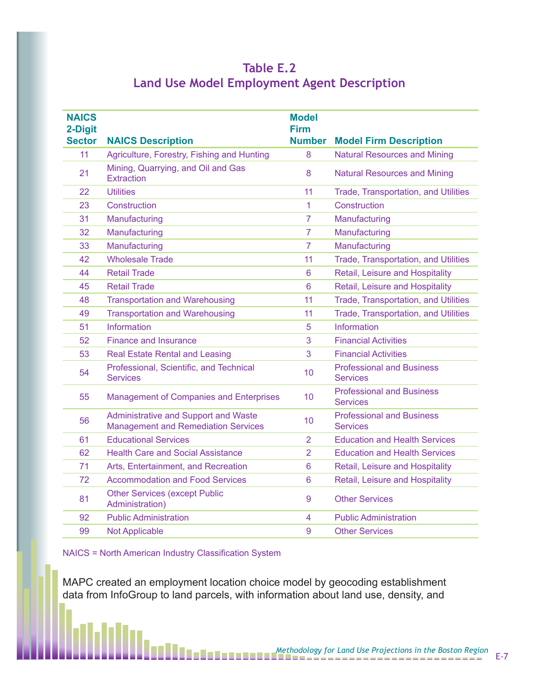| Table E.2                                          |  |
|----------------------------------------------------|--|
| <b>Land Use Model Employment Agent Description</b> |  |

| <b>NAICS</b><br>2-Digit<br><b>Sector</b> | <b>NAICS Description</b>                                                           | <b>Model</b><br><b>Firm</b><br><b>Number</b> | <b>Model Firm Description</b>                       |
|------------------------------------------|------------------------------------------------------------------------------------|----------------------------------------------|-----------------------------------------------------|
| 11                                       | Agriculture, Forestry, Fishing and Hunting                                         | 8                                            | <b>Natural Resources and Mining</b>                 |
| 21                                       | Mining, Quarrying, and Oil and Gas<br><b>Extraction</b>                            | 8                                            | <b>Natural Resources and Mining</b>                 |
| 22                                       | <b>Utilities</b>                                                                   | 11                                           | Trade, Transportation, and Utilities                |
| 23                                       | Construction                                                                       | 1                                            | Construction                                        |
| 31                                       | Manufacturing                                                                      | $\overline{7}$                               | Manufacturing                                       |
| 32                                       | Manufacturing                                                                      | 7                                            | Manufacturing                                       |
| 33                                       | Manufacturing                                                                      | $\overline{7}$                               | Manufacturing                                       |
| 42                                       | <b>Wholesale Trade</b>                                                             | 11                                           | Trade, Transportation, and Utilities                |
| 44                                       | <b>Retail Trade</b>                                                                | $6\phantom{1}$                               | Retail, Leisure and Hospitality                     |
| 45                                       | <b>Retail Trade</b>                                                                | $6\phantom{1}$                               | Retail, Leisure and Hospitality                     |
| 48                                       | <b>Transportation and Warehousing</b>                                              | 11                                           | Trade, Transportation, and Utilities                |
| 49                                       | <b>Transportation and Warehousing</b>                                              | 11                                           | Trade, Transportation, and Utilities                |
| 51                                       | <b>Information</b>                                                                 | 5                                            | <b>Information</b>                                  |
| 52                                       | <b>Finance and Insurance</b>                                                       | 3                                            | <b>Financial Activities</b>                         |
| 53                                       | <b>Real Estate Rental and Leasing</b>                                              | 3                                            | <b>Financial Activities</b>                         |
| 54                                       | Professional, Scientific, and Technical<br><b>Services</b>                         | 10                                           | <b>Professional and Business</b><br><b>Services</b> |
| 55                                       | <b>Management of Companies and Enterprises</b>                                     | 10                                           | <b>Professional and Business</b><br><b>Services</b> |
| 56                                       | Administrative and Support and Waste<br><b>Management and Remediation Services</b> | 10                                           | <b>Professional and Business</b><br><b>Services</b> |
| 61                                       | <b>Educational Services</b>                                                        | $\overline{2}$                               | <b>Education and Health Services</b>                |
| 62                                       | <b>Health Care and Social Assistance</b>                                           | $\overline{2}$                               | <b>Education and Health Services</b>                |
| 71                                       | Arts, Entertainment, and Recreation                                                | 6                                            | Retail, Leisure and Hospitality                     |
| 72                                       | <b>Accommodation and Food Services</b>                                             | 6                                            | Retail, Leisure and Hospitality                     |
| 81                                       | <b>Other Services (except Public</b><br>Administration)                            | 9                                            | <b>Other Services</b>                               |
| 92                                       | <b>Public Administration</b>                                                       | 4                                            | <b>Public Administration</b>                        |
| 99                                       | <b>Not Applicable</b>                                                              | 9                                            | <b>Other Services</b>                               |

NAICS = North American Industry Classification System

MAPC created an employment location choice model by geocoding establishment data from InfoGroup to land parcels, with information about land use, density, and